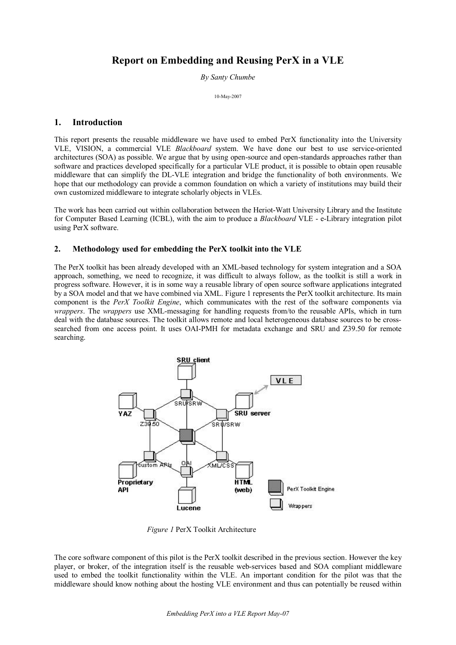# **Report on Embedding and Reusing PerX in a VLE**

*By Santy Chumbe*

10-May-2007

# **1. Introduction**

This report presents the reusable middleware we have used to embed PerX functionality into the University VLE, VISION, a commercial VLE *Blackboard* system. We have done our best to use service-oriented architectures (SOA) as possible. We argue that by using opensource and openstandards approaches rather than software and practices developed specifically for a particular VLE product, it is possible to obtain open reusable middleware that can simplify the DLVLE integration and bridge the functionality of both environments. We hope that our methodology can provide a common foundation on which a variety of institutions may build their own customized middleware to integrate scholarly objects in VLEs.

The work has been carried out within collaboration between the Heriot-Watt University Library and the Institute for Computer Based Learning (ICBL), with the aim to produce a *Blackboard* VLE - e-Library integration pilot using PerX software.

## **2. Methodology used for embedding the PerX toolkit into the VLE**

The PerX toolkit has been already developed with an XML-based technology for system integration and a SOA approach, something, we need to recognize, it was difficult to always follow, as the toolkit is still a work in progress software. However, it is in some way a reusable library of open source software applications integrated by a SOA model and that we have combined via XML. Figure 1 represents the PerX toolkit architecture. Its main component is the *PerX Toolkit Engine*, which communicates with the rest of the software components via *wrappers*. The *wrappers* use XML-messaging for handling requests from/to the reusable APIs, which in turn deal with the database sources. The toolkit allows remote and local heterogeneous database sources to be cross searched from one access point. It uses OAI-PMH for metadata exchange and SRU and  $Z39.50$  for remote searching.



*Figure 1* PerX Toolkit Architecture

The core software component of this pilot is the PerX toolkit described in the previous section. However the key player, or broker, of the integration itself is the reusable webservices based and SOA compliant middleware used to embed the toolkit functionality within the VLE. An important condition for the pilot was that the middleware should know nothing about the hosting VLE environment and thus can potentially be reused within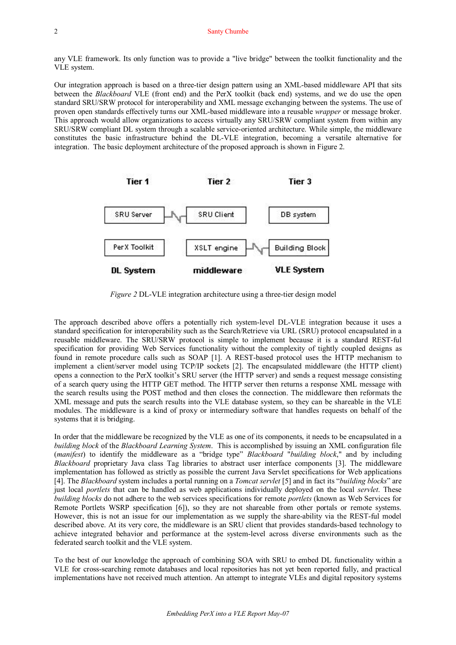any VLE framework. Its only function was to provide a "live bridge" between the toolkit functionality and the VLE system.

Our integration approach is based on a three-tier design pattern using an XML-based middleware API that sits between the *Blackboard* VLE (front end) and the PerX toolkit (back end) systems, and we do use the open standard SRU/SRW protocol for interoperability and XML message exchanging between the systems. The use of proven open standards effectively turns our XML-based middleware into a reusable *wrapper* or message broker. This approach would allow organizations to access virtually any SRU/SRW compliant system from within any SRU/SRW compliant DL system through a scalable service-oriented architecture. While simple, the middleware constitutes the basic infrastructure behind the DL-VLE integration, becoming a versatile alternative for integration. The basic deployment architecture of the proposed approach is shown in Figure 2.



*Figure* 2 DL-VLE integration architecture using a three-tier design model

The approach described above offers a potentially rich system-level DL-VLE integration because it uses a standard specification for interoperability such as the Search/Retrieve via URL (SRU) protocol encapsulated in a reusable middleware. The SRU/SRW protocol is simple to implement because it is a standard REST-ful specification for providing Web Services functionality without the complexity of tightly coupled designs as found in remote procedure calls such as SOAP [1]. A REST-based protocol uses the HTTP mechanism to implement a client/server model using TCP/IP sockets [2]. The encapsulated middleware (the HTTP client) opens a connection to the PerX toolkit's SRU server (the HTTP server) and sends a request message consisting of a search query using the HTTP GET method. The HTTP server then returns a response XML message with the search results using the POST method and then closes the connection. The middleware then reformats the XML message and puts the search results into the VLE database system, so they can be shareable in the VLE modules. The middleware is a kind of proxy or intermediary software that handles requests on behalf of the systems that it is bridging.

In order that the middleware be recognized by the VLE as one of its components, it needs to be encapsulated in a *building block* of the *Blackboard Learning System*. This is accomplished by issuing an XML configuration file (*manifest*) to identify the middleware as a "bridge type" *Blackboard* "*building block*," and by including *Blackboard* proprietary Java class Tag libraries to abstract user interface components [3]. The middleware implementation has followed as strictly as possible the current Java Servlet specifications for Web applications [4]. The *Blackboard* system includes a portal running on a *Tomcat servlet* [5] and in fact its "*building blocks*" are just local *portlets* that can be handled as web applications individually deployed on the local *servlet*. These *building blocks* do not adhere to the web services specifications for remote *portlets* (known as Web Services for Remote Portlets WSRP specification [6]), so they are not shareable from other portals or remote systems. However, this is not an issue for our implementation as we supply the share-ability via the REST-ful model described above. At its very core, the middleware is an SRU client that provides standards-based technology to achieve integrated behavior and performance at the system-level across diverse environments such as the federated search toolkit and the VLE system.

To the best of our knowledge the approach of combining SOA with SRU to embed DL functionality within a VLE for crosssearching remote databases and local repositories has not yet been reported fully, and practical implementations have not received much attention. An attempt to integrate VLEs and digital repository systems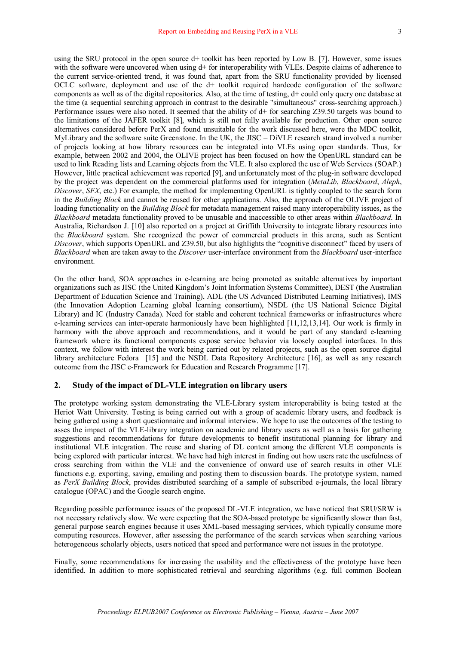using the SRU protocol in the open source d+ toolkit has been reported by Low B. [7]. However, some issues with the software were uncovered when using  $d$ + for interoperability with VLEs. Despite claims of adherence to the current service-oriented trend, it was found that, apart from the SRU functionality provided by licensed OCLC software, deployment and use of the d+ toolkit required hardcode configuration of the software components as well as of the digital repositories. Also, at the time of testing, d+ could only query one database at the time (a sequential searching approach in contrast to the desirable "simultaneous" crosssearching approach.) Performance issues were also noted. It seemed that the ability of d+ for searching Z39.50 targets was bound to the limitations of the JAFER toolkit [8], which is still not fully available for production. Other open source alternatives considered before PerX and found unsuitable for the work discussed here, were the MDC toolkit, MyLibrary and the software suite Greenstone. In the UK, the JISC – DiVLE research strand involved a number of projects looking at how library resources can be integrated into VLEs using open standards. Thus, for example, between 2002 and 2004, the OLIVE project has been focused on how the OpenURL standard can be used to link Reading lists and Learning objects from the VLE. It also explored the use of Web Services (SOAP.) However, little practical achievement was reported [9], and unfortunately most of the plug-in software developed by the project was dependent on the commercial platforms used for integration (*MetaLib*, *Blackboard*, *Aleph*, *Discover*, *SFX*, etc.) For example, the method for implementing OpenURL is tightly coupled to the search form in the *Building Block* and cannot be reused for other applications. Also, the approach of the OLIVE project of loading functionality on the *Building Block* for metadata management raised many interoperability issues, as the *Blackboard* metadata functionality proved to be unusable and inaccessible to other areas within *Blackboard*. In Australia, Richardson J. [10] also reported on a project at Griffith University to integrate library resources into the *Blackboard* system. She recognized the power of commercial products in this arena, such as Sentient *Discover*, which supports OpenURL and Z39.50, but also highlights the "cognitive disconnect" faced by users of *Blackboard* when are taken away to the *Discover* user-interface environment from the *Blackboard* user-interface environment.

On the other hand, SOA approaches in e-learning are being promoted as suitable alternatives by important organizations such as JISC (the United Kingdom's Joint Information Systems Committee), DEST (the Australian Department of Education Science and Training), ADL (the US Advanced Distributed Learning Initiatives), IMS (the Innovation Adoption Learning global learning consortium), NSDL (the US National Science Digital Library) and IC (Industry Canada). Need for stable and coherent technical frameworks or infrastructures where e-learning services can inter-operate harmoniously have been highlighted [11,12,13,14]. Our work is firmly in harmony with the above approach and recommendations, and it would be part of any standard e-learning framework where its functional components expose service behavior via loosely coupled interfaces. In this context, we follow with interest the work being carried out by related projects, such as the open source digital library architecture Fedora [15] and the NSDL Data Repository Architecture [16], as well as any research outcome from the JISC e-Framework for Education and Research Programme [17].

#### **2. Study of the impact of DLVLE integration on library users**

The prototype working system demonstrating the VLELibrary system interoperability is being tested at the Heriot Watt University. Testing is being carried out with a group of academic library users, and feedback is being gathered using a short questionnaire and informal interview. We hope to use the outcomes of the testing to asses the impact of the VLElibrary integration on academic and library users as well as a basis for gathering suggestions and recommendations for future developments to benefit institutional planning for library and institutional VLE integration. The reuse and sharing of DL content among the different VLE components is being explored with particular interest. We have had high interest in finding out how users rate the usefulness of cross searching from within the VLE and the convenience of onward use of search results in other VLE functions e.g. exporting, saving, emailing and posting them to discussion boards. The prototype system, named as *PerX Building Block*, provides distributed searching of a sample of subscribed ejournals, the local library catalogue (OPAC) and the Google search engine.

Regarding possible performance issues of the proposed DL-VLE integration, we have noticed that SRU/SRW is not necessary relatively slow. We were expecting that the SOA-based prototype be significantly slower than fast, general purpose search engines because it uses XML-based messaging services, which typically consume more computing resources. However, after assessing the performance of the search services when searching various heterogeneous scholarly objects, users noticed that speed and performance were not issues in the prototype.

Finally, some recommendations for increasing the usability and the effectiveness of the prototype have been identified. In addition to more sophisticated retrieval and searching algorithms (e.g. full common Boolean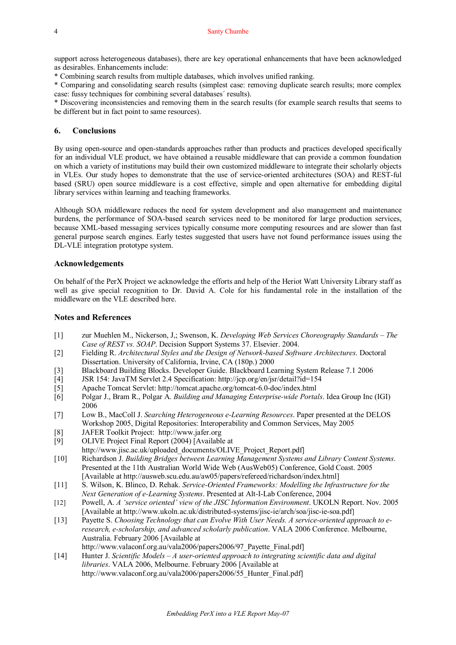support across heterogeneous databases), there are key operational enhancements that have been acknowledged as desirables. Enhancements include:

\* Combining search results from multiple databases, which involves unified ranking.

\* Comparing and consolidating search results (simplest case: removing duplicate search results; more complex case: fussy techniques for combining several databases´ results).

\* Discovering inconsistencies and removing them in the search results (for example search results that seems to be different but in fact point to same resources).

### **6. Conclusions**

By using open-source and open-standards approaches rather than products and practices developed specifically for an individual VLE product, we have obtained a reusable middleware that can provide a common foundation on which a variety of institutions may build their own customized middleware to integrate their scholarly objects in VLEs. Our study hopes to demonstrate that the use of service-oriented architectures (SOA) and REST-ful based (SRU) open source middleware is a cost effective, simple and open alternative for embedding digital library services within learning and teaching frameworks.

Although SOA middleware reduces the need for system development and also management and maintenance burdens, the performance of SOAbased search services need to be monitored for large production services, because XML-based messaging services typically consume more computing resources and are slower than fast general purpose search engines. Early testes suggested that users have not found performance issues using the DL-VLE integration prototype system.

#### **Acknowledgements**

On behalf of the PerX Project we acknowledge the efforts and help of the Heriot Watt University Library staff as well as give special recognition to Dr. David A. Cole for his fundamental role in the installation of the middleware on the VLE described here.

## **Notes and References**

- [1] zur Muehlen M., Nickerson, J,; Swenson, K. *Developing Web Services Choreography Standards The Case of REST vs. SOAP*. Decision Support Systems 37. Elsevier. 2004.
- [2] Fielding R. *Architectural Styles and the Design of Networkbased Software Architectures*. Doctoral Dissertation. University of California, Irvine, CA (180p.) 2000
- [3] Blackboard Building Blocks. Developer Guide. Blackboard Learning System Release 7.1 2006
- [4] JSR 154: JavaTM Servlet 2.4 Specification: http://jcp.org/en/jsr/detail?id=154
- [5] Apache Tomcat Servlet: http://tomcat.apache.org/tomcat-6.0-doc/index.html
- [6] Polgar J., Bram R., Polgar A. *Building and Managing Enterprisewide Portals*. Idea Group Inc (IGI) 2006
- [7] Low B., MacColl J. *Searching Heterogeneous eLearning Resources*. Paper presented at the DELOS Workshop 2005, Digital Repositories: Interoperability and Common Services, May 2005
- [8] JAFER Toolkit Project: http://www.jafer.org<br>[9] OLIVE Project Final Report (2004) [Available
- [9] OLIVE Project Final Report (2004) [Available at
- [http://www.jisc.ac.uk/uploaded\\_documents/OLIVE\\_Project\\_Report.pdf\]](http://www.jisc.ac.uk/uploaded_documents/OLIVE_Project_Report.pdf)
- [10] Richardson J. *Building Bridges between Learning Management Systems and Library Content Systems*. Presented at the 11th Australian World Wide Web (AusWeb05) Conference, Gold Coast. 2005 [Available at http://ausweb.scu.edu.au/aw05/papers/refereed/richardson/index.html]
- [11] S. Wilson, K. Blinco, D. Rehak. *ServiceOriented Frameworks: Modelling the Infrastructure for the Next Generation of e-Learning Systems*. Presented at Alt-I-Lab Conference, 2004
- [12] Powell, A. *A 'service oriented' view of the JISC Information Environment*. UKOLN Report. Nov. 2005 [Available at http://www.ukoln.ac.uk/distributed-systems/jisc-ie/arch/soa/jisc-ie-soa.pdf]
- [13] Payette S. *Choosing Technology that can Evolve With User Needs. A serviceoriented approach to e research, escholarship, and advanced scholarly publication*. VALA 2006 Conference. Melbourne, Australia. February 2006 [Available at http://www.valaconf.org.au/vala2006/papers2006/97\_Payette\_Final.pdf]
- [14] Hunter J. *Scientific Models – A useroriented approach to integrating scientific data and digital libraries*. VALA 2006, Melbourne. February 2006 [Available at http://www.valaconf.org.au/vala2006/papers2006/55\_Hunter\_Final.pdf]